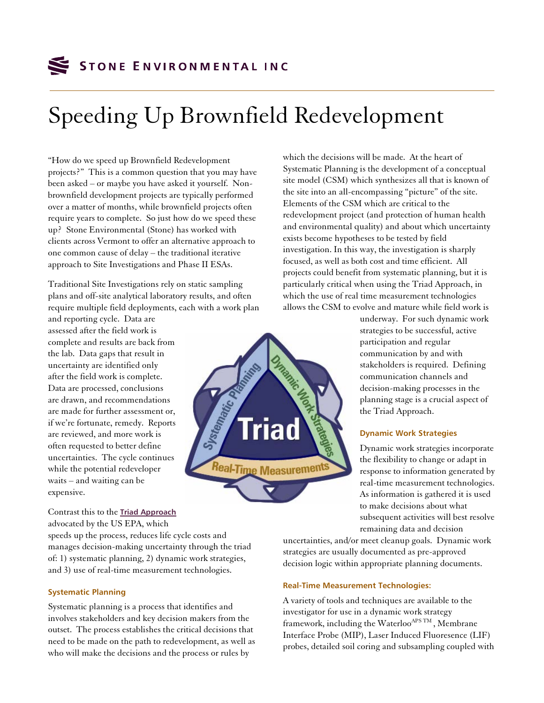

# Speeding Up Brownfield Redevelopment

"How do we speed up Brownfield Redevelopment projects?" This is a common question that you may have been asked – or maybe you have asked it yourself. Nonbrownfield development projects are typically performed over a matter of months, while brownfield projects often require years to complete. So just how do we speed these up? Stone Environmental (Stone) has worked with clients across Vermont to offer an alternative approach to one common cause of delay – the traditional iterative approach to Site Investigations and Phase II ESAs.

Traditional Site Investigations rely on static sampling plans and off-site analytical laboratory results, and often require multiple field deployments, each with a work plan

and reporting cycle. Data are assessed after the field work is complete and results are back from the lab. Data gaps that result in uncertainty are identified only after the field work is complete. Data are processed, conclusions are drawn, and recommendations are made for further assessment or, if we're fortunate, remedy. Reports are reviewed, and more work is often requested to better define uncertainties. The cycle continues while the potential redeveloper waits – and waiting can be expensive.

Contrast this to the **[Triad Approach](http://www.triadcentral.org/)**

# Systematics Triad <sup>Real-Time Measurement</sup>

which the decisions will be made. At the heart of Systematic Planning is the development of a conceptual site model (CSM) which synthesizes all that is known of the site into an all-encompassing "picture" of the site. Elements of the CSM which are critical to the redevelopment project (and protection of human health and environmental quality) and about which uncertainty exists become hypotheses to be tested by field investigation. In this way, the investigation is sharply focused, as well as both cost and time efficient. All projects could benefit from systematic planning, but it is particularly critical when using the Triad Approach, in which the use of real time measurement technologies allows the CSM to evolve and mature while field work is

> underway. For such dynamic work strategies to be successful, active participation and regular communication by and with stakeholders is required. Defining communication channels and decision-making processes in the planning stage is a crucial aspect of the Triad Approach.

# **Dynamic Work Strategies**

Dynamic work strategies incorporate the flexibility to change or adapt in response to information generated by real-time measurement technologies. As information is gathered it is used to make decisions about what subsequent activities will best resolve remaining data and decision

advocated by the US EPA, which speeds up the process, reduces life cycle costs and manages decision-making uncertainty through the triad of: 1) systematic planning, 2) dynamic work strategies, and 3) use of real-time measurement technologies.

### **Systematic Planning**

Systematic planning is a process that identifies and involves stakeholders and key decision makers from the outset. The process establishes the critical decisions that need to be made on the path to redevelopment, as well as who will make the decisions and the process or rules by

uncertainties, and/or meet cleanup goals. Dynamic work strategies are usually documented as pre-approved decision logic within appropriate planning documents.

#### **Real-Time Measurement Technologies:**

A variety of tools and techniques are available to the investigator for use in a dynamic work strategy framework, including the Waterloo<sup>APS TM</sup>, Membrane Interface Probe (MIP), Laser Induced Fluoresence (LIF) probes, detailed soil coring and subsampling coupled with